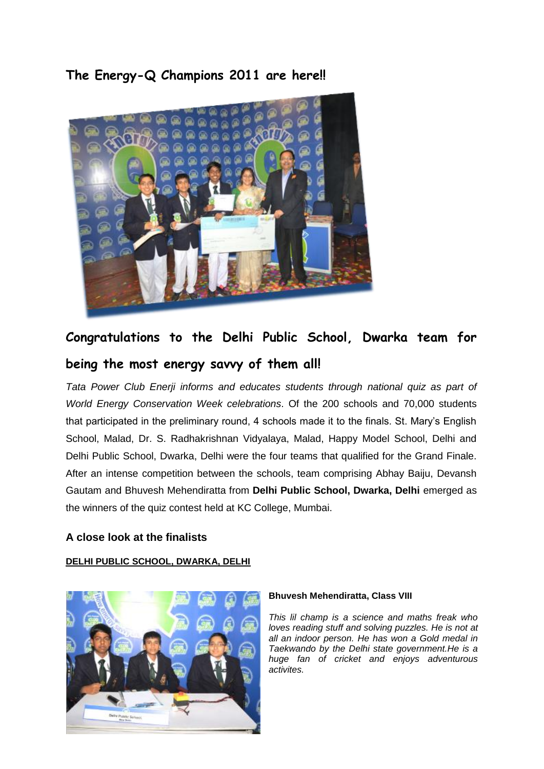**The Energy-Q Champions 2011 are here!!**



# **Congratulations to the Delhi Public School, Dwarka team for being the most energy savvy of them all!**

*Tata Power Club Enerji informs and educates students through national quiz as part of World Energy Conservation Week celebrations*. Of the 200 schools and 70,000 students that participated in the preliminary round, 4 schools made it to the finals. St. Mary's English School, Malad, Dr. S. Radhakrishnan Vidyalaya, Malad, Happy Model School, Delhi and Delhi Public School, Dwarka, Delhi were the four teams that qualified for the Grand Finale. After an intense competition between the schools, team comprising Abhay Baiju, Devansh Gautam and Bhuvesh Mehendiratta from **Delhi Public School, Dwarka, Delhi** emerged as the winners of the quiz contest held at KC College, Mumbai.

# **A close look at the finalists**

# **DELHI PUBLIC SCHOOL, DWARKA, DELHI**



# **Bhuvesh Mehendiratta, Class VIII**

*This lil champ is a science and maths freak who loves reading stuff and solving puzzles. He is not at all an indoor person. He has won a Gold medal in Taekwando by the Delhi state government.He is a huge fan of cricket and enjoys adventurous activites.*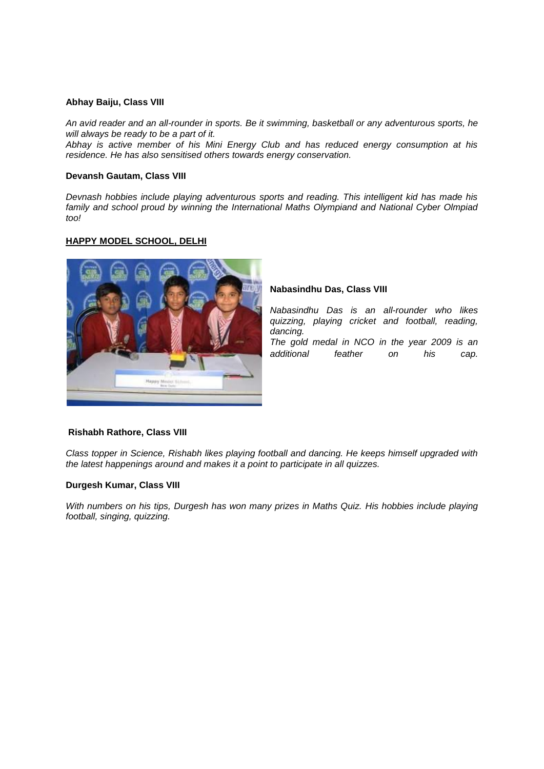## **Abhay Baiju, Class VIII**

*An avid reader and an all-rounder in sports. Be it swimming, basketball or any adventurous sports, he will always be ready to be a part of it.* 

*Abhay is active member of his Mini Energy Club and has reduced energy consumption at his residence. He has also sensitised others towards energy conservation.*

## **Devansh Gautam, Class VIII**

*Devnash hobbies include playing adventurous sports and reading. This intelligent kid has made his family and school proud by winning the International Maths Olympiand and National Cyber Olmpiad too!* 

# **HAPPY MODEL SCHOOL, DELHI**



#### **Nabasindhu Das, Class VIII**

*Nabasindhu Das is an all-rounder who likes quizzing, playing cricket and football, reading, dancing. The gold medal in NCO in the year 2009 is an* 

*additional feather on his cap.*

#### **Rishabh Rathore, Class VIII**

*Class topper in Science, Rishabh likes playing football and dancing. He keeps himself upgraded with the latest happenings around and makes it a point to participate in all quizzes.*

# **Durgesh Kumar, Class VIII**

*With numbers on his tips, Durgesh has won many prizes in Maths Quiz. His hobbies include playing football, singing, quizzing.*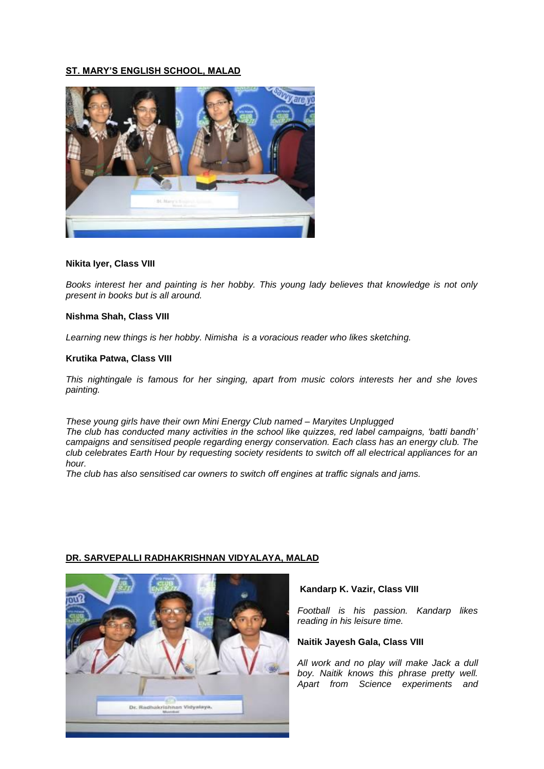# **ST. MARY'S ENGLISH SCHOOL, MALAD**



#### **Nikita Iyer, Class VIII**

*Books interest her and painting is her hobby. This young lady believes that knowledge is not only present in books but is all around.* 

## **Nishma Shah, Class VIII**

*Learning new things is her hobby. Nimisha is a voracious reader who likes sketching.*

#### **Krutika Patwa, Class VIII**

*This nightingale is famous for her singing, apart from music colors interests her and she loves painting.*

*These young girls have their own Mini Energy Club named – Maryites Unplugged The club has conducted many activities in the school like quizzes, red label campaigns, 'batti bandh' campaigns and sensitised people regarding energy conservation. Each class has an energy club. The club celebrates Earth Hour by requesting society residents to switch off all electrical appliances for an hour.* 

*The club has also sensitised car owners to switch off engines at traffic signals and jams.*



# **DR. SARVEPALLI RADHAKRISHNAN VIDYALAYA, MALAD**

#### **Kandarp K. Vazir, Class VIII**

*Football is his passion. Kandarp likes reading in his leisure time.*

#### **Naitik Jayesh Gala, Class VIII**

*All work and no play will make Jack a dull boy. Naitik knows this phrase pretty well. Apart from Science experiments and*